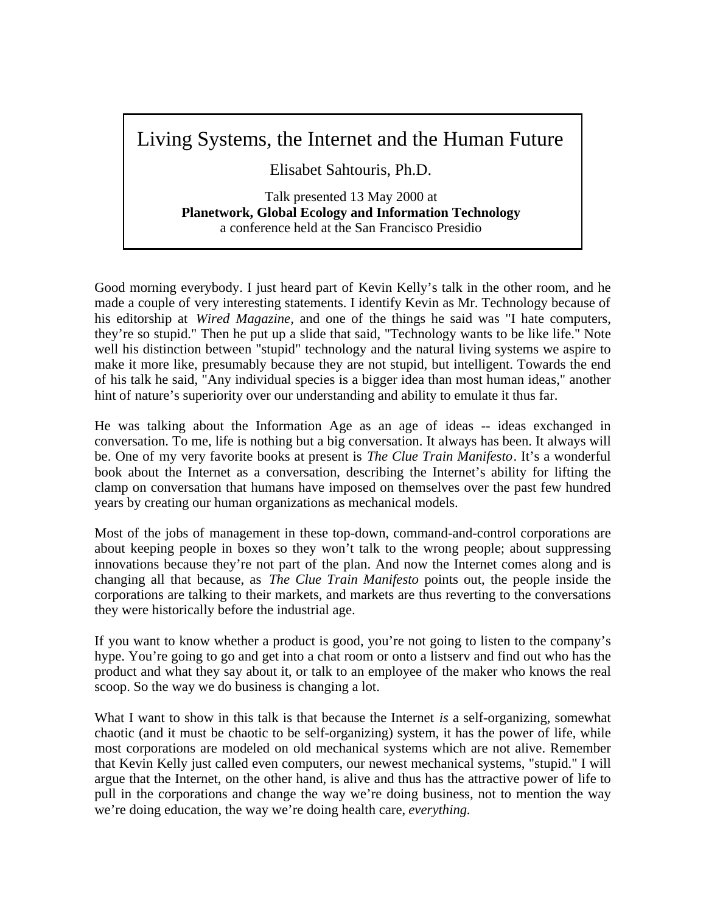## Living Systems, the Internet and the Human Future

Elisabet Sahtouris, Ph.D.

Talk presented 13 May 2000 at **Planetwork, Global Ecology and Information Technology**  a conference held at the San Francisco Presidio

Good morning everybody. I just heard part of Kevin Kelly's talk in the other room, and he made a couple of very interesting statements. I identify Kevin as Mr. Technology because of his editorship at *Wired Magazine,* and one of the things he said was "I hate computers, they're so stupid." Then he put up a slide that said, "Technology wants to be like life." Note well his distinction between "stupid" technology and the natural living systems we aspire to make it more like, presumably because they are not stupid, but intelligent. Towards the end of his talk he said, "Any individual species is a bigger idea than most human ideas," another hint of nature's superiority over our understanding and ability to emulate it thus far.

He was talking about the Information Age as an age of ideas -- ideas exchanged in conversation. To me, life is nothing but a big conversation. It always has been. It always will be. One of my very favorite books at present is *The Clue Train Manifesto*. It's a wonderful book about the Internet as a conversation, describing the Internet's ability for lifting the clamp on conversation that humans have imposed on themselves over the past few hundred years by creating our human organizations as mechanical models.

Most of the jobs of management in these top-down, command-and-control corporations are about keeping people in boxes so they won't talk to the wrong people; about suppressing innovations because they're not part of the plan. And now the Internet comes along and is changing all that because, as *The Clue Train Manifesto* points out, the people inside the corporations are talking to their markets, and markets are thus reverting to the conversations they were historically before the industrial age.

If you want to know whether a product is good, you're not going to listen to the company's hype. You're going to go and get into a chat room or onto a listserv and find out who has the product and what they say about it, or talk to an employee of the maker who knows the real scoop. So the way we do business is changing a lot.

What I want to show in this talk is that because the Internet *is* a self-organizing, somewhat chaotic (and it must be chaotic to be self-organizing) system, it has the power of life, while most corporations are modeled on old mechanical systems which are not alive. Remember that Kevin Kelly just called even computers, our newest mechanical systems, "stupid." I will argue that the Internet, on the other hand, is alive and thus has the attractive power of life to pull in the corporations and change the way we're doing business, not to mention the way we're doing education, the way we're doing health care, *everything.*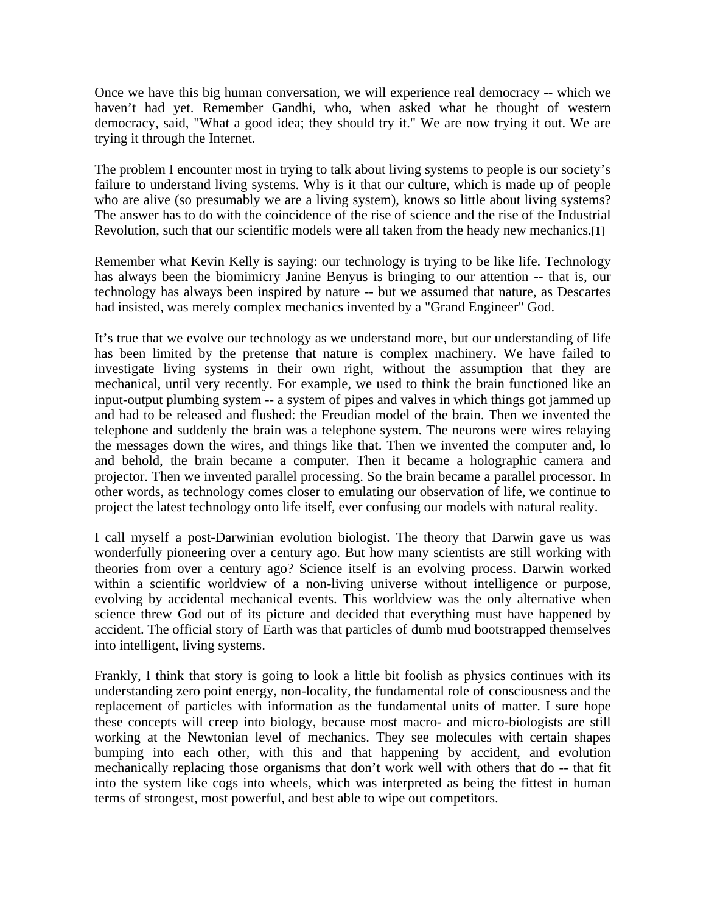Once we have this big human conversation, we will experience real democracy -- which we haven't had yet. Remember Gandhi, who, when asked what he thought of western democracy, said, "What a good idea; they should try it." We are now trying it out. We are trying it through the Internet.

The problem I encounter most in trying to talk about living systems to people is our society's failure to understand living systems. Why is it that our culture, which is made up of people who are alive (so presumably we are a living system), knows so little about living systems? The answer has to do with the coincidence of the rise of science and the rise of the Industrial Revolution, such that our scientific models were all taken from the heady new mechanics.[**1**]

Remember what Kevin Kelly is saying: our technology is trying to be like life. Technology has always been the biomimicry Janine Benyus is bringing to our attention -- that is, our technology has always been inspired by nature -- but we assumed that nature, as Descartes had insisted, was merely complex mechanics invented by a "Grand Engineer" God.

It's true that we evolve our technology as we understand more, but our understanding of life has been limited by the pretense that nature is complex machinery. We have failed to investigate living systems in their own right, without the assumption that they are mechanical, until very recently. For example, we used to think the brain functioned like an input-output plumbing system -- a system of pipes and valves in which things got jammed up and had to be released and flushed: the Freudian model of the brain. Then we invented the telephone and suddenly the brain was a telephone system. The neurons were wires relaying the messages down the wires, and things like that. Then we invented the computer and, lo and behold, the brain became a computer. Then it became a holographic camera and projector. Then we invented parallel processing. So the brain became a parallel processor. In other words, as technology comes closer to emulating our observation of life, we continue to project the latest technology onto life itself, ever confusing our models with natural reality.

I call myself a post-Darwinian evolution biologist. The theory that Darwin gave us was wonderfully pioneering over a century ago. But how many scientists are still working with theories from over a century ago? Science itself is an evolving process. Darwin worked within a scientific worldview of a non-living universe without intelligence or purpose, evolving by accidental mechanical events. This worldview was the only alternative when science threw God out of its picture and decided that everything must have happened by accident. The official story of Earth was that particles of dumb mud bootstrapped themselves into intelligent, living systems.

Frankly, I think that story is going to look a little bit foolish as physics continues with its understanding zero point energy, non-locality, the fundamental role of consciousness and the replacement of particles with information as the fundamental units of matter. I sure hope these concepts will creep into biology, because most macro- and micro-biologists are still working at the Newtonian level of mechanics. They see molecules with certain shapes bumping into each other, with this and that happening by accident, and evolution mechanically replacing those organisms that don't work well with others that do -- that fit into the system like cogs into wheels, which was interpreted as being the fittest in human terms of strongest, most powerful, and best able to wipe out competitors.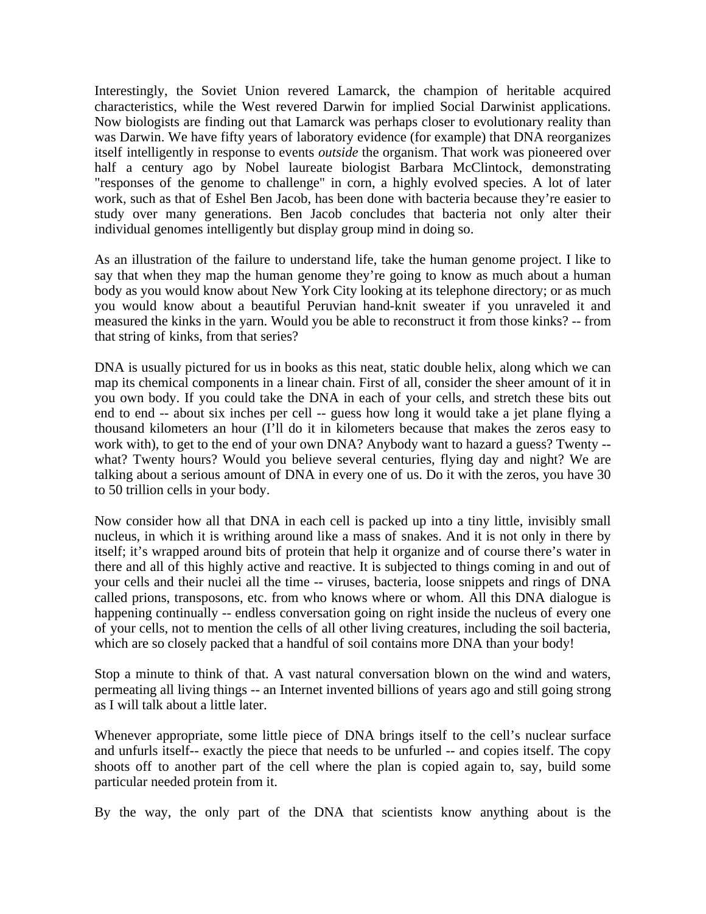Interestingly, the Soviet Union revered Lamarck, the champion of heritable acquired characteristics, while the West revered Darwin for implied Social Darwinist applications. Now biologists are finding out that Lamarck was perhaps closer to evolutionary reality than was Darwin. We have fifty years of laboratory evidence (for example) that DNA reorganizes itself intelligently in response to events *outside* the organism. That work was pioneered over half a century ago by Nobel laureate biologist Barbara McClintock, demonstrating "responses of the genome to challenge" in corn, a highly evolved species. A lot of later work, such as that of Eshel Ben Jacob, has been done with bacteria because they're easier to study over many generations. Ben Jacob concludes that bacteria not only alter their individual genomes intelligently but display group mind in doing so.

As an illustration of the failure to understand life, take the human genome project. I like to say that when they map the human genome they're going to know as much about a human body as you would know about New York City looking at its telephone directory; or as much you would know about a beautiful Peruvian hand-knit sweater if you unraveled it and measured the kinks in the yarn. Would you be able to reconstruct it from those kinks? -- from that string of kinks, from that series?

DNA is usually pictured for us in books as this neat, static double helix, along which we can map its chemical components in a linear chain. First of all, consider the sheer amount of it in you own body. If you could take the DNA in each of your cells, and stretch these bits out end to end -- about six inches per cell -- guess how long it would take a jet plane flying a thousand kilometers an hour (I'll do it in kilometers because that makes the zeros easy to work with), to get to the end of your own DNA? Anybody want to hazard a guess? Twenty - what? Twenty hours? Would you believe several centuries, flying day and night? We are talking about a serious amount of DNA in every one of us. Do it with the zeros, you have 30 to 50 trillion cells in your body.

Now consider how all that DNA in each cell is packed up into a tiny little, invisibly small nucleus, in which it is writhing around like a mass of snakes. And it is not only in there by itself; it's wrapped around bits of protein that help it organize and of course there's water in there and all of this highly active and reactive. It is subjected to things coming in and out of your cells and their nuclei all the time -- viruses, bacteria, loose snippets and rings of DNA called prions, transposons, etc. from who knows where or whom. All this DNA dialogue is happening continually -- endless conversation going on right inside the nucleus of every one of your cells, not to mention the cells of all other living creatures, including the soil bacteria, which are so closely packed that a handful of soil contains more DNA than your body!

Stop a minute to think of that. A vast natural conversation blown on the wind and waters, permeating all living things -- an Internet invented billions of years ago and still going strong as I will talk about a little later.

Whenever appropriate, some little piece of DNA brings itself to the cell's nuclear surface and unfurls itself-- exactly the piece that needs to be unfurled -- and copies itself. The copy shoots off to another part of the cell where the plan is copied again to, say, build some particular needed protein from it.

By the way, the only part of the DNA that scientists know anything about is the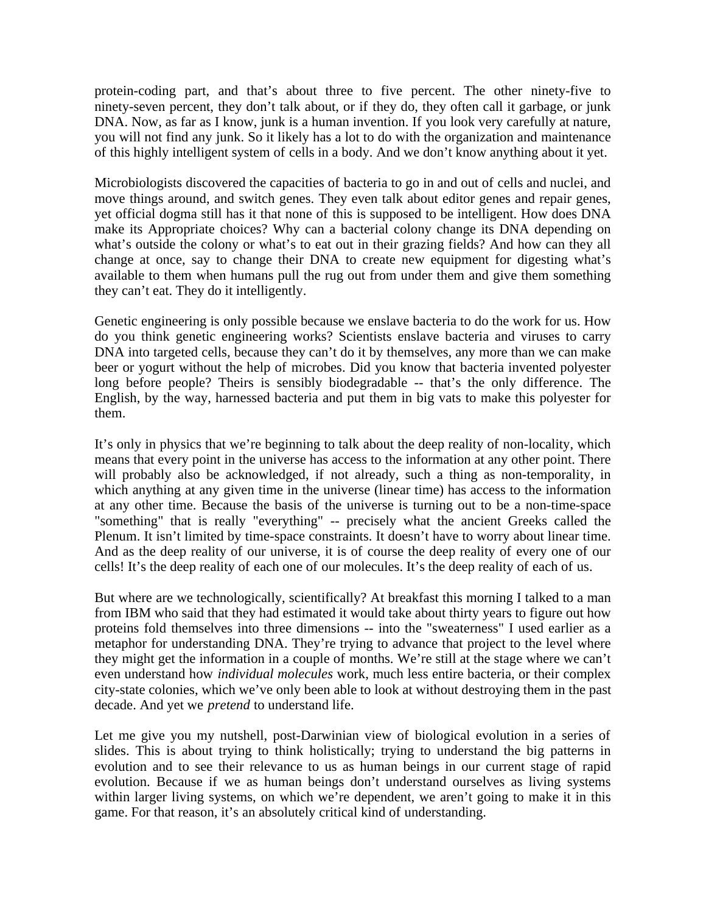protein-coding part, and that's about three to five percent. The other ninety-five to ninety-seven percent, they don't talk about, or if they do, they often call it garbage, or junk DNA. Now, as far as I know, junk is a human invention. If you look very carefully at nature, you will not find any junk. So it likely has a lot to do with the organization and maintenance of this highly intelligent system of cells in a body. And we don't know anything about it yet.

Microbiologists discovered the capacities of bacteria to go in and out of cells and nuclei, and move things around, and switch genes. They even talk about editor genes and repair genes, yet official dogma still has it that none of this is supposed to be intelligent. How does DNA make its Appropriate choices? Why can a bacterial colony change its DNA depending on what's outside the colony or what's to eat out in their grazing fields? And how can they all change at once, say to change their DNA to create new equipment for digesting what's available to them when humans pull the rug out from under them and give them something they can't eat. They do it intelligently.

Genetic engineering is only possible because we enslave bacteria to do the work for us. How do you think genetic engineering works? Scientists enslave bacteria and viruses to carry DNA into targeted cells, because they can't do it by themselves, any more than we can make beer or yogurt without the help of microbes. Did you know that bacteria invented polyester long before people? Theirs is sensibly biodegradable -- that's the only difference. The English, by the way, harnessed bacteria and put them in big vats to make this polyester for them.

It's only in physics that we're beginning to talk about the deep reality of non-locality, which means that every point in the universe has access to the information at any other point. There will probably also be acknowledged, if not already, such a thing as non-temporality, in which anything at any given time in the universe (linear time) has access to the information at any other time. Because the basis of the universe is turning out to be a non-time-space "something" that is really "everything" -- precisely what the ancient Greeks called the Plenum. It isn't limited by time-space constraints. It doesn't have to worry about linear time. And as the deep reality of our universe, it is of course the deep reality of every one of our cells! It's the deep reality of each one of our molecules. It's the deep reality of each of us.

But where are we technologically, scientifically? At breakfast this morning I talked to a man from IBM who said that they had estimated it would take about thirty years to figure out how proteins fold themselves into three dimensions -- into the "sweaterness" I used earlier as a metaphor for understanding DNA. They're trying to advance that project to the level where they might get the information in a couple of months. We're still at the stage where we can't even understand how *individual molecules* work, much less entire bacteria, or their complex city-state colonies, which we've only been able to look at without destroying them in the past decade. And yet we *pretend* to understand life.

Let me give you my nutshell, post-Darwinian view of biological evolution in a series of slides. This is about trying to think holistically; trying to understand the big patterns in evolution and to see their relevance to us as human beings in our current stage of rapid evolution. Because if we as human beings don't understand ourselves as living systems within larger living systems, on which we're dependent, we aren't going to make it in this game. For that reason, it's an absolutely critical kind of understanding.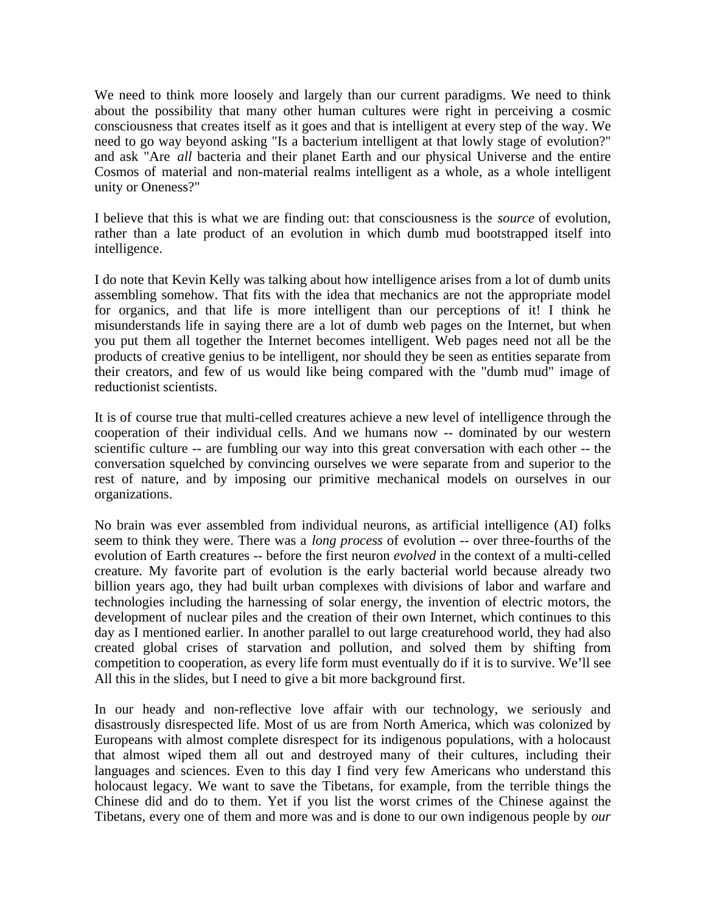We need to think more loosely and largely than our current paradigms. We need to think about the possibility that many other human cultures were right in perceiving a cosmic consciousness that creates itself as it goes and that is intelligent at every step of the way. We need to go way beyond asking "Is a bacterium intelligent at that lowly stage of evolution?" and ask "Are *all* bacteria and their planet Earth and our physical Universe and the entire Cosmos of material and non-material realms intelligent as a whole, as a whole intelligent unity or Oneness?"

I believe that this is what we are finding out: that consciousness is the *source* of evolution, rather than a late product of an evolution in which dumb mud bootstrapped itself into intelligence.

I do note that Kevin Kelly was talking about how intelligence arises from a lot of dumb units assembling somehow. That fits with the idea that mechanics are not the appropriate model for organics, and that life is more intelligent than our perceptions of it! I think he misunderstands life in saying there are a lot of dumb web pages on the Internet, but when you put them all together the Internet becomes intelligent. Web pages need not all be the products of creative genius to be intelligent, nor should they be seen as entities separate from their creators, and few of us would like being compared with the "dumb mud" image of reductionist scientists.

It is of course true that multi-celled creatures achieve a new level of intelligence through the cooperation of their individual cells. And we humans now -- dominated by our western scientific culture -- are fumbling our way into this great conversation with each other -- the conversation squelched by convincing ourselves we were separate from and superior to the rest of nature, and by imposing our primitive mechanical models on ourselves in our organizations.

No brain was ever assembled from individual neurons, as artificial intelligence (AI) folks seem to think they were. There was a *long process* of evolution -- over three-fourths of the evolution of Earth creatures -- before the first neuron *evolved* in the context of a multi-celled creature. My favorite part of evolution is the early bacterial world because already two billion years ago, they had built urban complexes with divisions of labor and warfare and technologies including the harnessing of solar energy, the invention of electric motors, the development of nuclear piles and the creation of their own Internet, which continues to this day as I mentioned earlier. In another parallel to out large creaturehood world, they had also created global crises of starvation and pollution, and solved them by shifting from competition to cooperation, as every life form must eventually do if it is to survive. We'll see All this in the slides, but I need to give a bit more background first.

In our heady and non-reflective love affair with our technology, we seriously and disastrously disrespected life. Most of us are from North America, which was colonized by Europeans with almost complete disrespect for its indigenous populations, with a holocaust that almost wiped them all out and destroyed many of their cultures, including their languages and sciences. Even to this day I find very few Americans who understand this holocaust legacy. We want to save the Tibetans, for example, from the terrible things the Chinese did and do to them. Yet if you list the worst crimes of the Chinese against the Tibetans, every one of them and more was and is done to our own indigenous people by *our*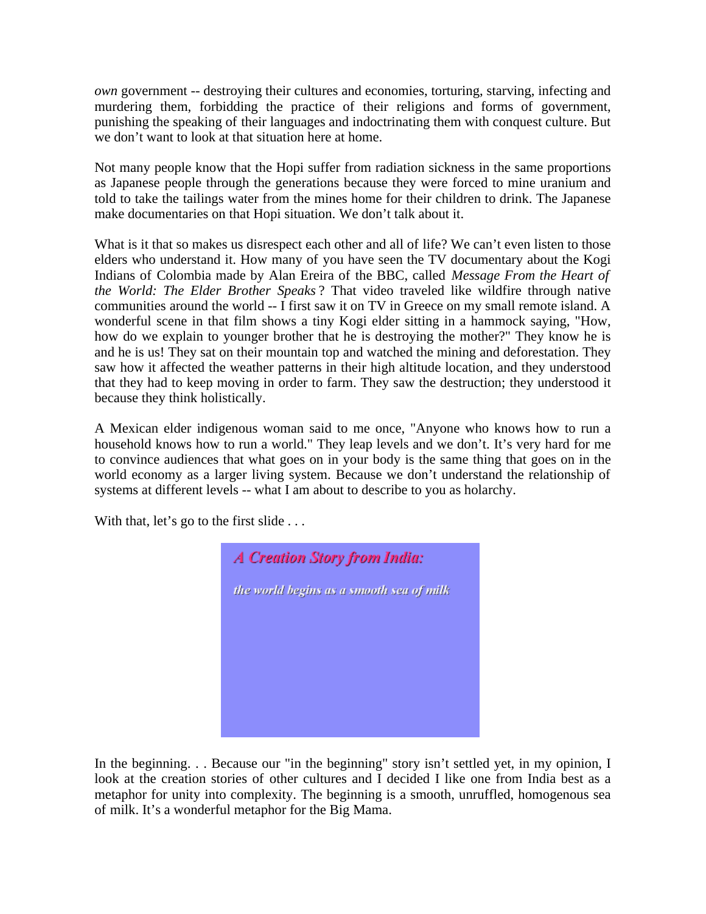*own* government -- destroying their cultures and economies, torturing, starving, infecting and murdering them, forbidding the practice of their religions and forms of government, punishing the speaking of their languages and indoctrinating them with conquest culture. But we don't want to look at that situation here at home.

Not many people know that the Hopi suffer from radiation sickness in the same proportions as Japanese people through the generations because they were forced to mine uranium and told to take the tailings water from the mines home for their children to drink. The Japanese make documentaries on that Hopi situation. We don't talk about it.

What is it that so makes us disrespect each other and all of life? We can't even listen to those elders who understand it. How many of you have seen the TV documentary about the Kogi Indians of Colombia made by Alan Ereira of the BBC, called *Message From the Heart of the World: The Elder Brother Speaks* ? That video traveled like wildfire through native communities around the world -- I first saw it on TV in Greece on my small remote island. A wonderful scene in that film shows a tiny Kogi elder sitting in a hammock saying, "How, how do we explain to younger brother that he is destroying the mother?" They know he is and he is us! They sat on their mountain top and watched the mining and deforestation. They saw how it affected the weather patterns in their high altitude location, and they understood that they had to keep moving in order to farm. They saw the destruction; they understood it because they think holistically.

A Mexican elder indigenous woman said to me once, "Anyone who knows how to run a household knows how to run a world." They leap levels and we don't. It's very hard for me to convince audiences that what goes on in your body is the same thing that goes on in the world economy as a larger living system. Because we don't understand the relationship of systems at different levels -- what I am about to describe to you as holarchy.

With that, let's go to the first slide ...



In the beginning. . . Because our "in the beginning" story isn't settled yet, in my opinion, I look at the creation stories of other cultures and I decided I like one from India best as a metaphor for unity into complexity. The beginning is a smooth, unruffled, homogenous sea of milk. It's a wonderful metaphor for the Big Mama.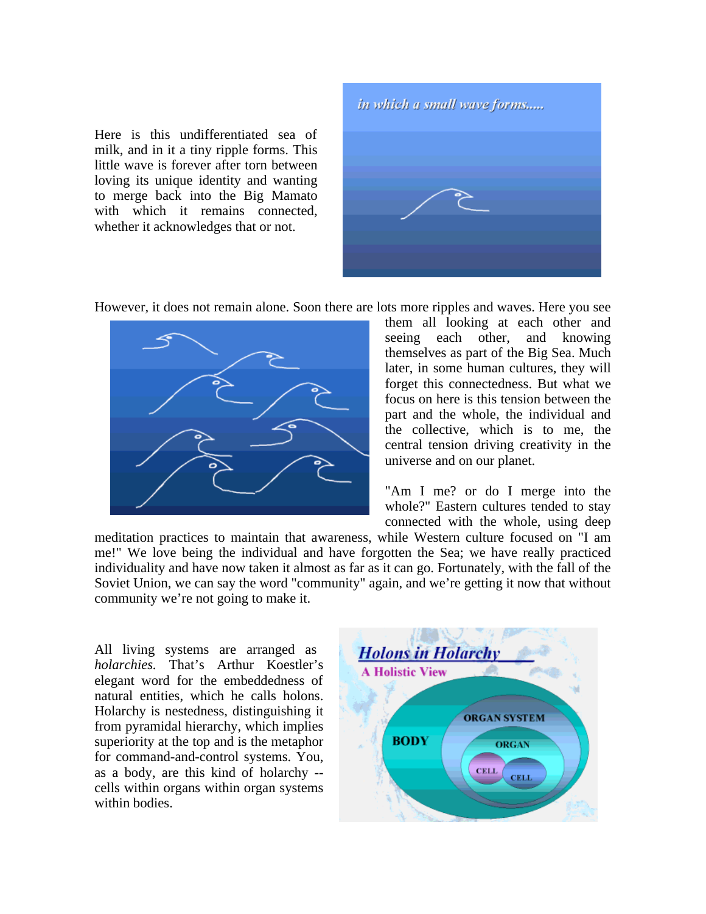Here is this undifferentiated sea of milk, and in it a tiny ripple forms. This little wave is forever after torn between loving its unique identity and wanting to merge back into the Big Mamato with which it remains connected, whether it acknowledges that or not.



However, it does not remain alone. Soon there are lots more ripples and waves. Here you see



them all looking at each other and seeing each other, and knowing themselves as part of the Big Sea. Much later, in some human cultures, they will forget this connectedness. But what we focus on here is this tension between the part and the whole, the individual and the collective, which is to me, the central tension driving creativity in the universe and on our planet.

"Am I me? or do I merge into the whole?" Eastern cultures tended to stay connected with the whole, using deep

meditation practices to maintain that awareness, while Western culture focused on "I am me!" We love being the individual and have forgotten the Sea; we have really practiced individuality and have now taken it almost as far as it can go. Fortunately, with the fall of the Soviet Union, we can say the word "community" again, and we're getting it now that without community we're not going to make it.

All living systems are arranged as *holarchies.* That's Arthur Koestler's elegant word for the embeddedness of natural entities, which he calls holons. Holarchy is nestedness, distinguishing it from pyramidal hierarchy, which implies superiority at the top and is the metaphor for command-and-control systems. You, as a body, are this kind of holarchy - cells within organs within organ systems within bodies.

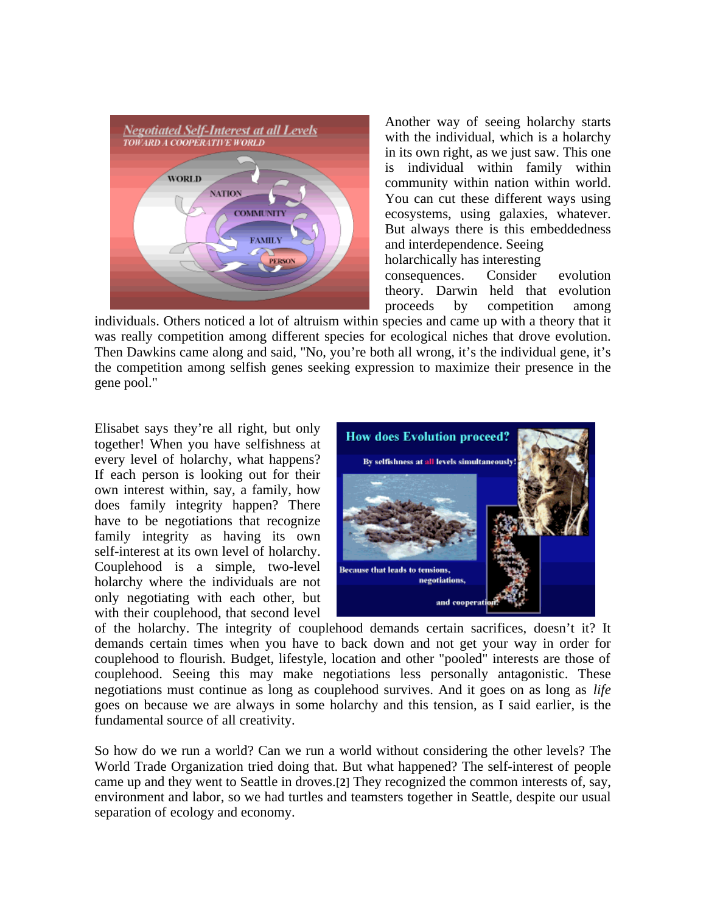

Another way of seeing holarchy starts with the individual, which is a holarchy in its own right, as we just saw. This one is individual within family within community within nation within world. You can cut these different ways using ecosystems, using galaxies, whatever. But always there is this embeddedness and interdependence. Seeing holarchically has interesting consequences. Consider evolution theory. Darwin held that evolution proceeds by competition among

individuals. Others noticed a lot of altruism within species and came up with a theory that it was really competition among different species for ecological niches that drove evolution. Then Dawkins came along and said, "No, you're both all wrong, it's the individual gene, it's the competition among selfish genes seeking expression to maximize their presence in the gene pool."

Elisabet says they're all right, but only together! When you have selfishness at every level of holarchy, what happens? If each person is looking out for their own interest within, say, a family, how does family integrity happen? There have to be negotiations that recognize family integrity as having its own self-interest at its own level of holarchy. Couplehood is a simple, two-level holarchy where the individuals are not only negotiating with each other, but with their couplehood, that second level



of the holarchy. The integrity of couplehood demands certain sacrifices, doesn't it? It demands certain times when you have to back down and not get your way in order for couplehood to flourish. Budget, lifestyle, location and other "pooled" interests are those of couplehood. Seeing this may make negotiations less personally antagonistic. These negotiations must continue as long as couplehood survives. And it goes on as long as *life* goes on because we are always in some holarchy and this tension, as I said earlier, is the fundamental source of all creativity.

So how do we run a world? Can we run a world without considering the other levels? The World Trade Organization tried doing that. But what happened? The self-interest of people came up and they went to Seattle in droves.[**2**] They recognized the common interests of, say, environment and labor, so we had turtles and teamsters together in Seattle, despite our usual separation of ecology and economy.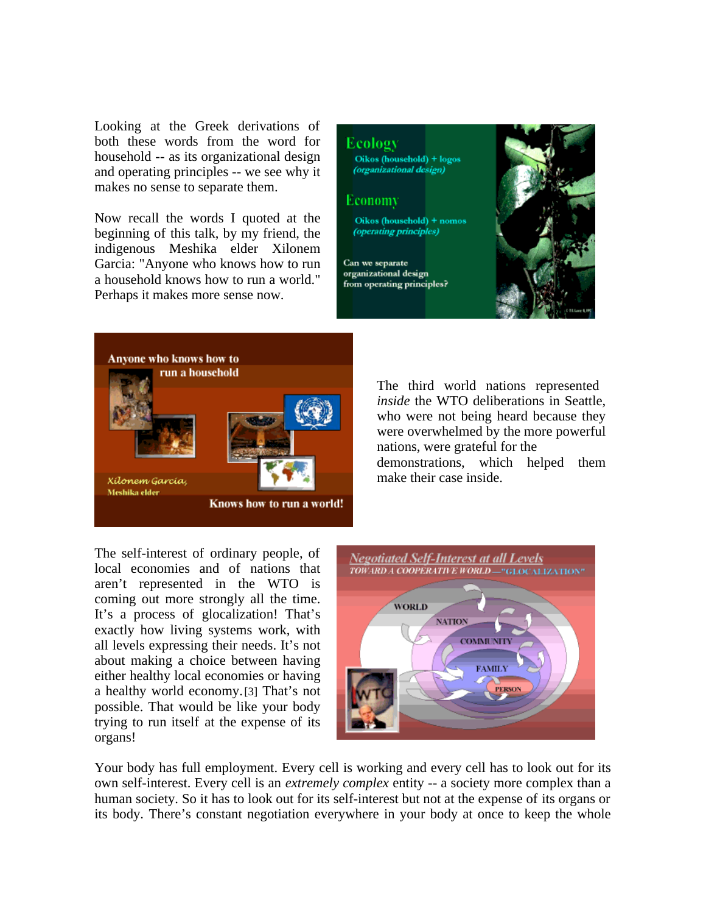Looking at the Greek derivations of both these words from the word for household -- as its organizational design and operating principles -- we see why it makes no sense to separate them.

Now recall the words I quoted at the beginning of this talk, by my friend, the indigenous Meshika elder Xilonem Garcia: "Anyone who knows how to run a household knows how to run a world." Perhaps it makes more sense now.

Ecology Oikos (household) + logos (organizational design)

Economy

Oikos (household) + nomos (operating principles)

Can we separate organizational design from operating principles?





The third world nations represented *inside* the WTO deliberations in Seattle, who were not being heard because they were overwhelmed by the more powerful nations, were grateful for the demonstrations, which helped them make their case inside.

The self-interest of ordinary people, of local economies and of nations that aren't represented in the WTO is coming out more strongly all the time. It's a process of glocalization! That's exactly how living systems work, with all levels expressing their needs. It's not about making a choice between having either healthy local economies or having a healthy world economy.[3] That's not possible. That would be like your body trying to run itself at the expense of its organs!



Your body has full employment. Every cell is working and every cell has to look out for its own self-interest. Every cell is an *extremely complex* entity -- a society more complex than a human society. So it has to look out for its self-interest but not at the expense of its organs or its body. There's constant negotiation everywhere in your body at once to keep the whole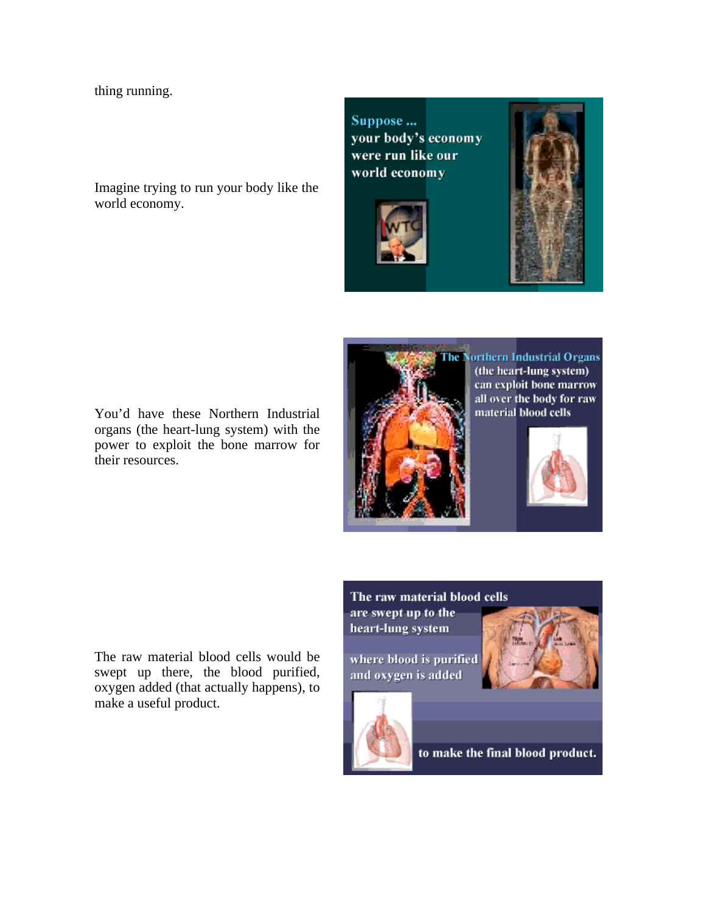thing running.

Imagine trying to run your body like the world economy.

Suppose ... your body's economy were run like our world economy





organs (the heart-lung system) with the power to exploit the bone marrow for their resources.

The raw material blood cells would be swept up there, the blood purified, swept up there, the blood purified,<br>oxygen added (that actually happens), to

make a useful product.

You'd have these Northern Industrial

**The Northern Industrial Organs** (the heart-lung system) can exploit bone marrow all over the body for raw material blood cells



The raw material blood cells are swept up to the heart-lung system

where blood is purified and oxygen is added





to make the final blood product.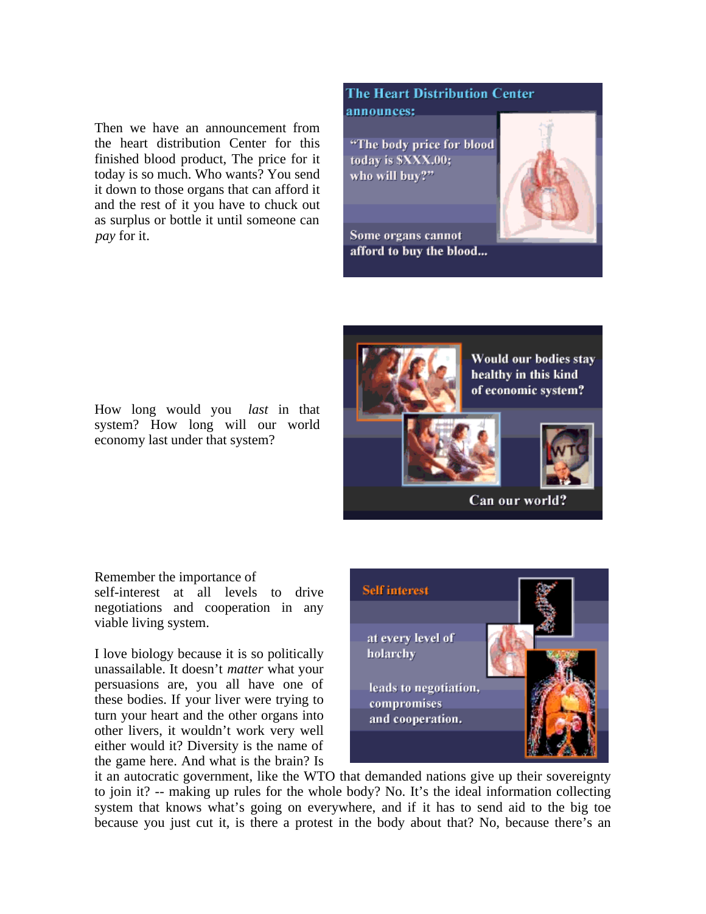Then we have an announcement from the heart distribution Center for this finished blood product, The price for it today is so much. Who wants? You send it down to those organs that can afford it and the rest of it you have to chuck out as surplus or bottle it until someone can *pay* for it.

## **The Heart Distribution Center** announces:

"The body price for blood today is SXXX.00: who will buy?"

Some organs cannot afford to buy the blood...



Would our bodies stay healthy in this kind of economic system?





Can our world?

Remember the importance of self-interest at all levels to drive negotiations and cooperation in any viable living system.

I love biology because it is so politically unassailable. It doesn't *matter* what your persuasions are, you all have one of these bodies. If your liver were trying to turn your heart and the other organs into other livers, it wouldn't work very well either would it? Diversity is the name of the game here. And what is the brain? Is



it an autocratic government, like the WTO that demanded nations give up their sovereignty to join it? -- making up rules for the whole body? No. It's the ideal information collecting system that knows what's going on everywhere, and if it has to send aid to the big toe because you just cut it, is there a protest in the body about that? No, because there's an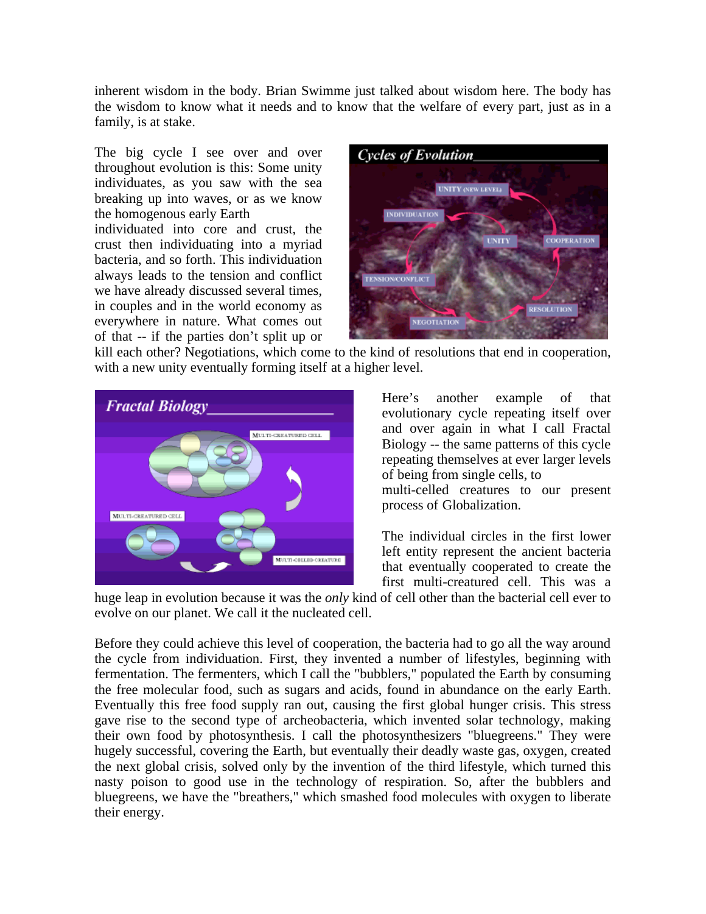inherent wisdom in the body. Brian Swimme just talked about wisdom here. The body has the wisdom to know what it needs and to know that the welfare of every part, just as in a family, is at stake.

The big cycle I see over and over throughout evolution is this: Some unity individuates, as you saw with the sea breaking up into waves, or as we know the homogenous early Earth

individuated into core and crust, the crust then individuating into a myriad bacteria, and so forth. This individuation always leads to the tension and conflict we have already discussed several times, in couples and in the world economy as everywhere in nature. What comes out of that -- if the parties don't split up or



kill each other? Negotiations, which come to the kind of resolutions that end in cooperation, with a new unity eventually forming itself at a higher level.



Here's another example of that evolutionary cycle repeating itself over and over again in what I call Fractal Biology -- the same patterns of this cycle repeating themselves at ever larger levels of being from single cells, to multi-celled creatures to our present process of Globalization.

The individual circles in the first lower left entity represent the ancient bacteria that eventually cooperated to create the first multi-creatured cell. This was a

huge leap in evolution because it was the *only* kind of cell other than the bacterial cell ever to evolve on our planet. We call it the nucleated cell.

Before they could achieve this level of cooperation, the bacteria had to go all the way around the cycle from individuation. First, they invented a number of lifestyles, beginning with fermentation. The fermenters, which I call the "bubblers," populated the Earth by consuming the free molecular food, such as sugars and acids, found in abundance on the early Earth. Eventually this free food supply ran out, causing the first global hunger crisis. This stress gave rise to the second type of archeobacteria, which invented solar technology, making their own food by photosynthesis. I call the photosynthesizers "bluegreens." They were hugely successful, covering the Earth, but eventually their deadly waste gas, oxygen, created the next global crisis, solved only by the invention of the third lifestyle, which turned this nasty poison to good use in the technology of respiration. So, after the bubblers and bluegreens, we have the "breathers," which smashed food molecules with oxygen to liberate their energy.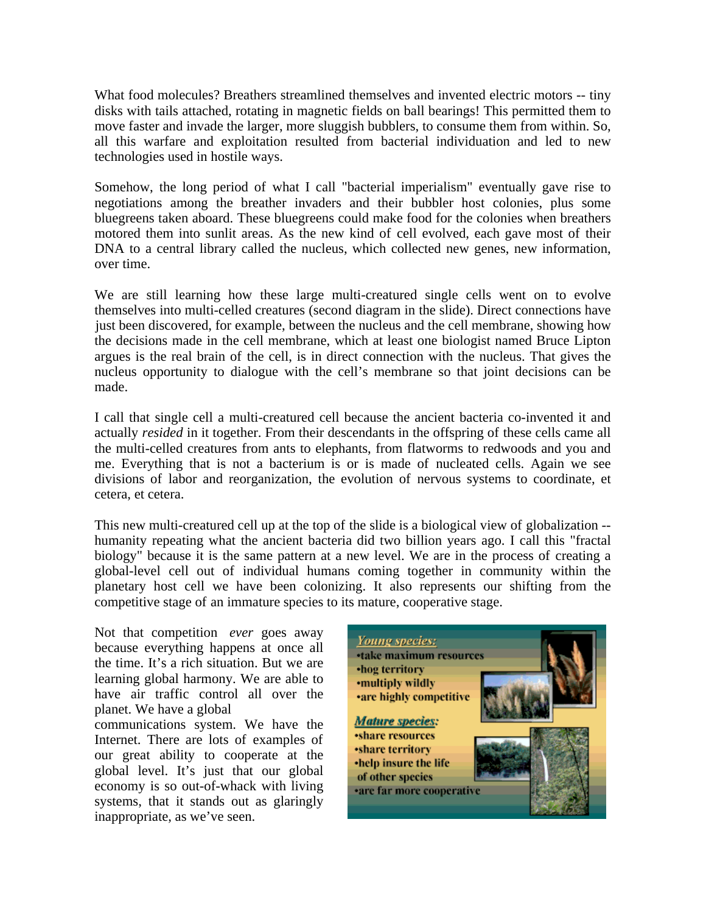What food molecules? Breathers streamlined themselves and invented electric motors -- tiny disks with tails attached, rotating in magnetic fields on ball bearings! This permitted them to move faster and invade the larger, more sluggish bubblers, to consume them from within. So, all this warfare and exploitation resulted from bacterial individuation and led to new technologies used in hostile ways.

Somehow, the long period of what I call "bacterial imperialism" eventually gave rise to negotiations among the breather invaders and their bubbler host colonies, plus some bluegreens taken aboard. These bluegreens could make food for the colonies when breathers motored them into sunlit areas. As the new kind of cell evolved, each gave most of their DNA to a central library called the nucleus, which collected new genes, new information, over time.

We are still learning how these large multi-creatured single cells went on to evolve themselves into multi-celled creatures (second diagram in the slide). Direct connections have just been discovered, for example, between the nucleus and the cell membrane, showing how the decisions made in the cell membrane, which at least one biologist named Bruce Lipton argues is the real brain of the cell, is in direct connection with the nucleus. That gives the nucleus opportunity to dialogue with the cell's membrane so that joint decisions can be made.

I call that single cell a multi-creatured cell because the ancient bacteria co-invented it and actually *resided* in it together. From their descendants in the offspring of these cells came all the multi-celled creatures from ants to elephants, from flatworms to redwoods and you and me. Everything that is not a bacterium is or is made of nucleated cells. Again we see divisions of labor and reorganization, the evolution of nervous systems to coordinate, et cetera, et cetera.

This new multi-creatured cell up at the top of the slide is a biological view of globalization - humanity repeating what the ancient bacteria did two billion years ago. I call this "fractal biology" because it is the same pattern at a new level. We are in the process of creating a global-level cell out of individual humans coming together in community within the planetary host cell we have been colonizing. It also represents our shifting from the competitive stage of an immature species to its mature, cooperative stage.

Not that competition *ever* goes away because everything happens at once all the time. It's a rich situation. But we are learning global harmony. We are able to have air traffic control all over the planet. We have a global communications system. We have the Internet. There are lots of examples of our great ability to cooperate at the global level. It's just that our global economy is so out-of-whack with living systems, that it stands out as glaringly inappropriate, as we've seen.

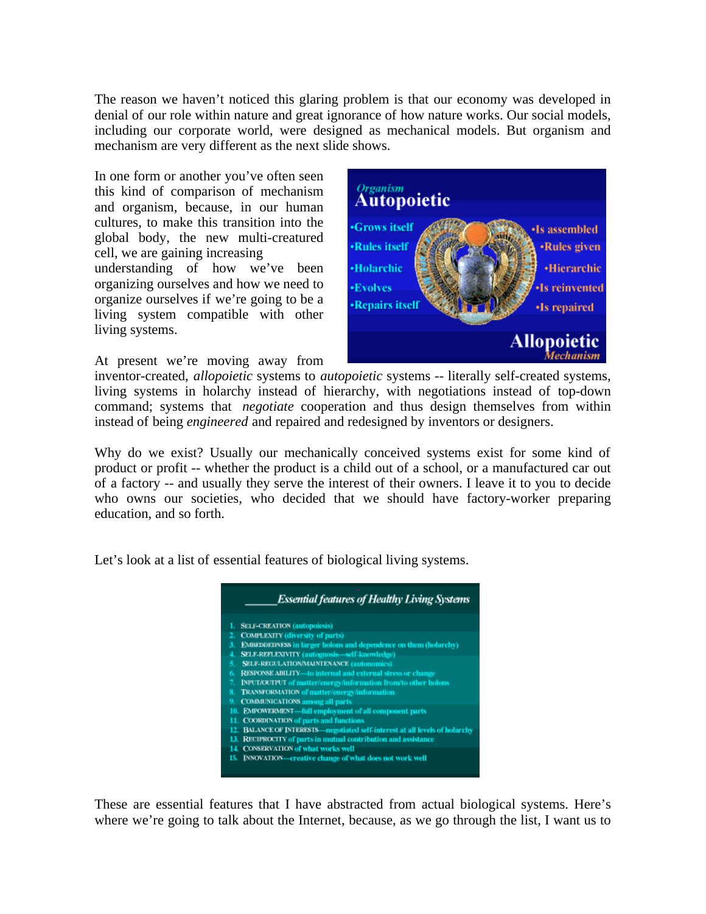The reason we haven't noticed this glaring problem is that our economy was developed in denial of our role within nature and great ignorance of how nature works. Our social models, including our corporate world, were designed as mechanical models. But organism and mechanism are very different as the next slide shows.

In one form or another you've often seen this kind of comparison of mechanism and organism, because, in our human cultures, to make this transition into the global body, the new multi-creatured cell, we are gaining increasing

understanding of how we've been organizing ourselves and how we need to organize ourselves if we're going to be a living system compatible with other living systems.

At present we're moving away from



inventor-created, *allopoietic* systems to *autopoietic* systems -- literally self-created systems, living systems in holarchy instead of hierarchy, with negotiations instead of top-down command; systems that *negotiate* cooperation and thus design themselves from within instead of being *engineered* and repaired and redesigned by inventors or designers.

Why do we exist? Usually our mechanically conceived systems exist for some kind of product or profit -- whether the product is a child out of a school, or a manufactured car out of a factory -- and usually they serve the interest of their owners. I leave it to you to decide who owns our societies, who decided that we should have factory-worker preparing education, and so forth.

Let's look at a list of essential features of biological living systems.



These are essential features that I have abstracted from actual biological systems. Here's where we're going to talk about the Internet, because, as we go through the list, I want us to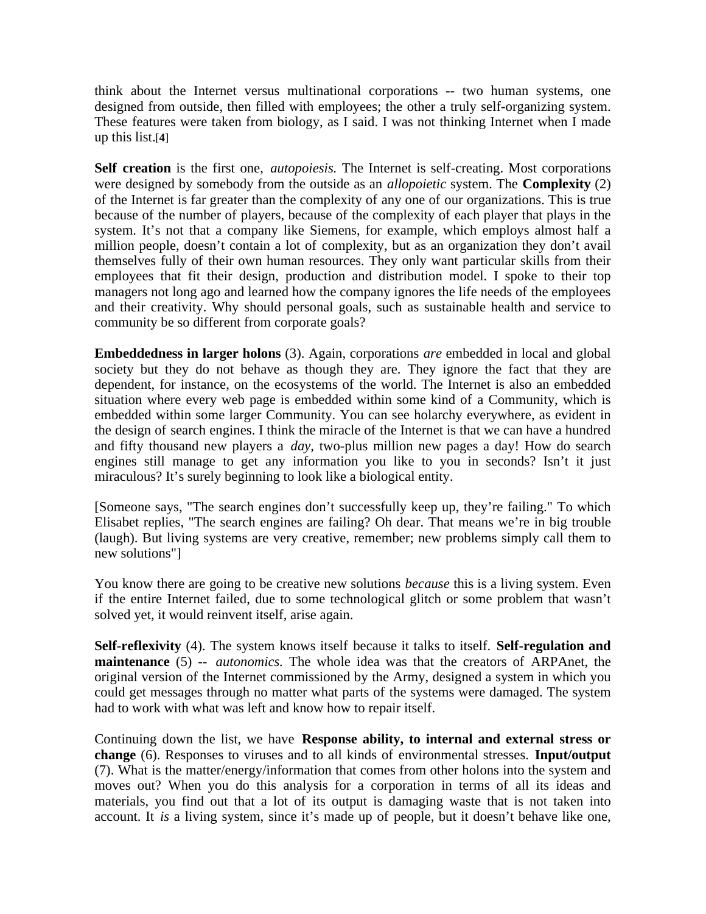think about the Internet versus multinational corporations -- two human systems, one designed from outside, then filled with employees; the other a truly self-organizing system. These features were taken from biology, as I said. I was not thinking Internet when I made up this list.[**4**]

**Self creation** is the first one, *autopoiesis.* The Internet is self-creating. Most corporations were designed by somebody from the outside as an *allopoietic* system. The **Complexity** (2) of the Internet is far greater than the complexity of any one of our organizations. This is true because of the number of players, because of the complexity of each player that plays in the system. It's not that a company like Siemens, for example, which employs almost half a million people, doesn't contain a lot of complexity, but as an organization they don't avail themselves fully of their own human resources. They only want particular skills from their employees that fit their design, production and distribution model. I spoke to their top managers not long ago and learned how the company ignores the life needs of the employees and their creativity. Why should personal goals, such as sustainable health and service to community be so different from corporate goals?

**Embeddedness in larger holons** (3). Again, corporations *are* embedded in local and global society but they do not behave as though they are. They ignore the fact that they are dependent, for instance, on the ecosystems of the world. The Internet is also an embedded situation where every web page is embedded within some kind of a Community, which is embedded within some larger Community. You can see holarchy everywhere, as evident in the design of search engines. I think the miracle of the Internet is that we can have a hundred and fifty thousand new players a *day,* two-plus million new pages a day! How do search engines still manage to get any information you like to you in seconds? Isn't it just miraculous? It's surely beginning to look like a biological entity.

[Someone says, "The search engines don't successfully keep up, they're failing." To which Elisabet replies, "The search engines are failing? Oh dear. That means we're in big trouble (laugh). But living systems are very creative, remember; new problems simply call them to new solutions"]

You know there are going to be creative new solutions *because* this is a living system. Even if the entire Internet failed, due to some technological glitch or some problem that wasn't solved yet, it would reinvent itself, arise again.

**Self-reflexivity** (4). The system knows itself because it talks to itself. **Self-regulation and maintenance** (5) -- *autonomics.* The whole idea was that the creators of ARPAnet, the original version of the Internet commissioned by the Army, designed a system in which you could get messages through no matter what parts of the systems were damaged. The system had to work with what was left and know how to repair itself.

Continuing down the list, we have **Response ability, to internal and external stress or change** (6). Responses to viruses and to all kinds of environmental stresses. **Input/output** (7). What is the matter/energy/information that comes from other holons into the system and moves out? When you do this analysis for a corporation in terms of all its ideas and materials, you find out that a lot of its output is damaging waste that is not taken into account. It *is* a living system, since it's made up of people, but it doesn't behave like one,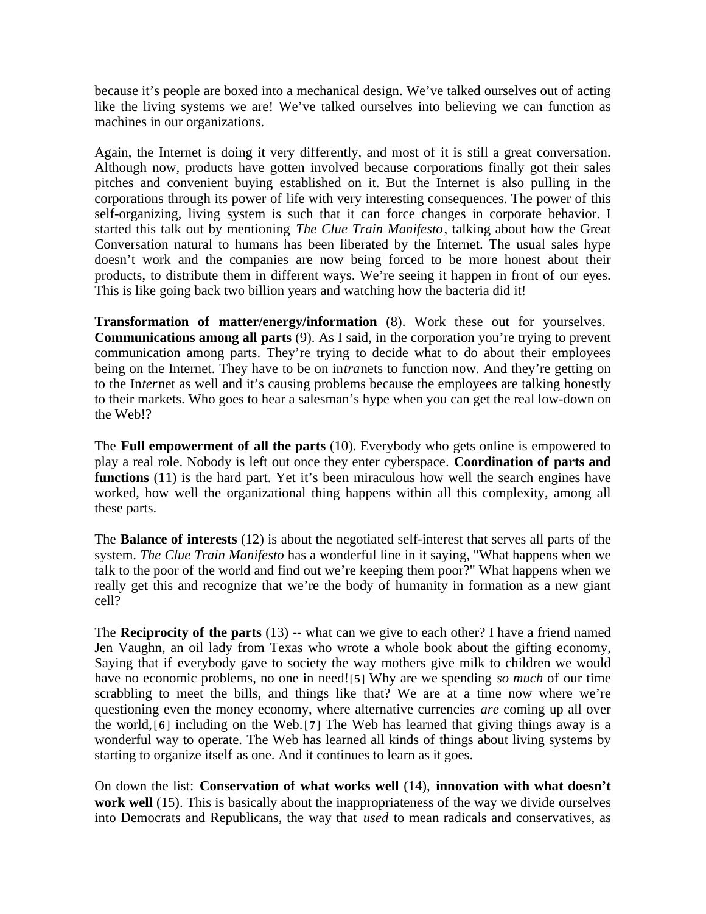because it's people are boxed into a mechanical design. We've talked ourselves out of acting like the living systems we are! We've talked ourselves into believing we can function as machines in our organizations.

Again, the Internet is doing it very differently, and most of it is still a great conversation. Although now, products have gotten involved because corporations finally got their sales pitches and convenient buying established on it. But the Internet is also pulling in the corporations through its power of life with very interesting consequences. The power of this self-organizing, living system is such that it can force changes in corporate behavior. I started this talk out by mentioning *The Clue Train Manifesto*, talking about how the Great Conversation natural to humans has been liberated by the Internet. The usual sales hype doesn't work and the companies are now being forced to be more honest about their products, to distribute them in different ways. We're seeing it happen in front of our eyes. This is like going back two billion years and watching how the bacteria did it!

**Transformation of matter/energy/information** (8). Work these out for yourselves. **Communications among all parts** (9). As I said, in the corporation you're trying to prevent communication among parts. They're trying to decide what to do about their employees being on the Internet. They have to be on in*tra*nets to function now. And they're getting on to the In*ter*net as well and it's causing problems because the employees are talking honestly to their markets. Who goes to hear a salesman's hype when you can get the real low-down on the Web!?

The **Full empowerment of all the parts** (10). Everybody who gets online is empowered to play a real role. Nobody is left out once they enter cyberspace. **Coordination of parts and** functions (11) is the hard part. Yet it's been miraculous how well the search engines have worked, how well the organizational thing happens within all this complexity, among all these parts.

The **Balance of interests** (12) is about the negotiated self-interest that serves all parts of the system. *The Clue Train Manifesto* has a wonderful line in it saying, "What happens when we talk to the poor of the world and find out we're keeping them poor?" What happens when we really get this and recognize that we're the body of humanity in formation as a new giant cell?

The **Reciprocity of the parts** (13) -- what can we give to each other? I have a friend named Jen Vaughn, an oil lady from Texas who wrote a whole book about the gifting economy, Saying that if everybody gave to society the way mothers give milk to children we would have no economic problems, no one in need![**5**] Why are we spending *so much* of our time scrabbling to meet the bills, and things like that? We are at a time now where we're questioning even the money economy, where alternative currencies *are* coming up all over the world,[ **6** ] including on the Web.[ **7** ] The Web has learned that giving things away is a wonderful way to operate. The Web has learned all kinds of things about living systems by starting to organize itself as one. And it continues to learn as it goes.

On down the list: **Conservation of what works well** (14), **innovation with what doesn't work well** (15). This is basically about the inappropriateness of the way we divide ourselves into Democrats and Republicans, the way that *used* to mean radicals and conservatives, as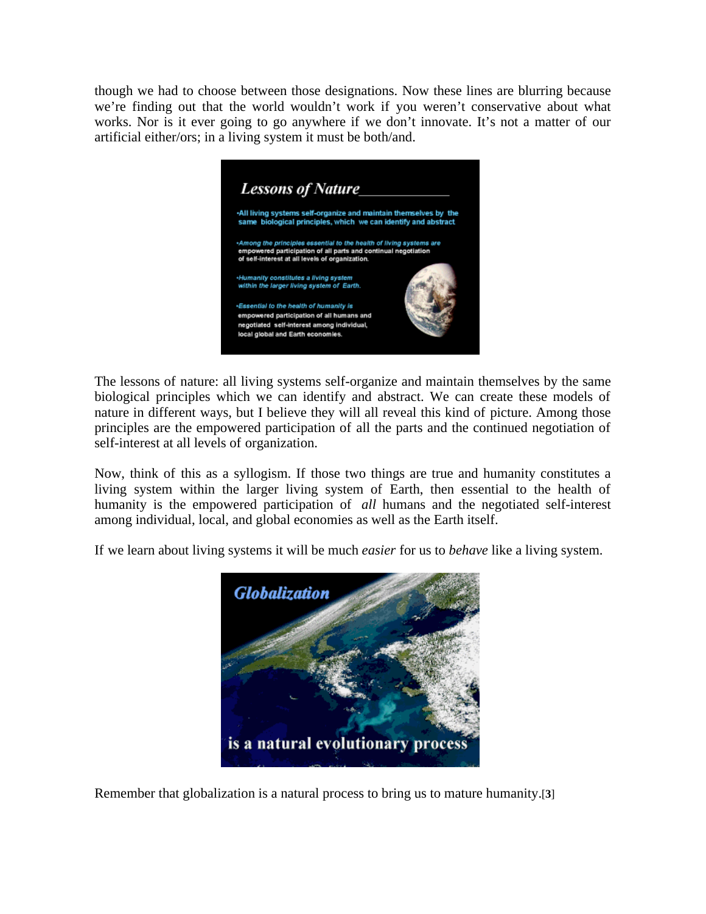though we had to choose between those designations. Now these lines are blurring because we're finding out that the world wouldn't work if you weren't conservative about what works. Nor is it ever going to go anywhere if we don't innovate. It's not a matter of our artificial either/ors; in a living system it must be both/and.



The lessons of nature: all living systems self-organize and maintain themselves by the same biological principles which we can identify and abstract. We can create these models of nature in different ways, but I believe they will all reveal this kind of picture. Among those principles are the empowered participation of all the parts and the continued negotiation of self-interest at all levels of organization.

Now, think of this as a syllogism. If those two things are true and humanity constitutes a living system within the larger living system of Earth, then essential to the health of humanity is the empowered participation of *all* humans and the negotiated self-interest among individual, local, and global economies as well as the Earth itself.

If we learn about living systems it will be much *easier* for us to *behave* like a living system.



Remember that globalization is a natural process to bring us to mature humanity.[**3**]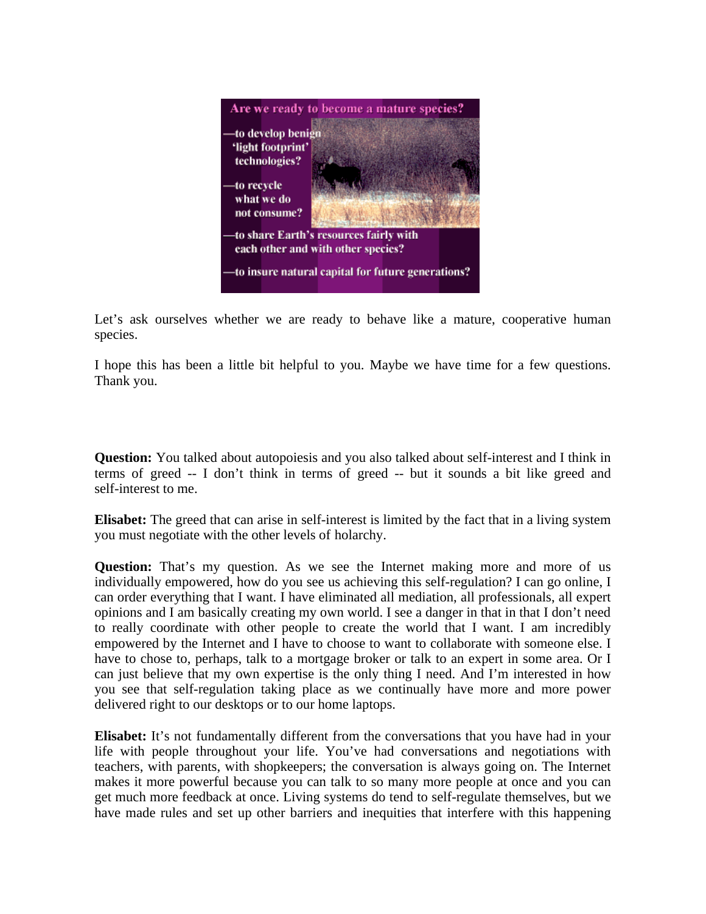|             |                                                          | Are we ready to become a mature species?                                      |  |
|-------------|----------------------------------------------------------|-------------------------------------------------------------------------------|--|
|             | -to develop benign<br>'light footprint'<br>technologies? |                                                                               |  |
| -to recycle | what we do<br>not consume?                               |                                                                               |  |
|             |                                                          | -to share Earth's resources fairly with<br>each other and with other species? |  |
|             |                                                          | - to insure natural capital for future generations?                           |  |

Let's ask ourselves whether we are ready to behave like a mature, cooperative human species.

I hope this has been a little bit helpful to you. Maybe we have time for a few questions. Thank you.

**Question:** You talked about autopoiesis and you also talked about self-interest and I think in terms of greed -- I don't think in terms of greed -- but it sounds a bit like greed and self-interest to me.

**Elisabet:** The greed that can arise in self-interest is limited by the fact that in a living system you must negotiate with the other levels of holarchy.

**Question:** That's my question. As we see the Internet making more and more of us individually empowered, how do you see us achieving this self-regulation? I can go online, I can order everything that I want. I have eliminated all mediation, all professionals, all expert opinions and I am basically creating my own world. I see a danger in that in that I don't need to really coordinate with other people to create the world that I want. I am incredibly empowered by the Internet and I have to choose to want to collaborate with someone else. I have to chose to, perhaps, talk to a mortgage broker or talk to an expert in some area. Or I can just believe that my own expertise is the only thing I need. And I'm interested in how you see that self-regulation taking place as we continually have more and more power delivered right to our desktops or to our home laptops.

**Elisabet:** It's not fundamentally different from the conversations that you have had in your life with people throughout your life. You've had conversations and negotiations with teachers, with parents, with shopkeepers; the conversation is always going on. The Internet makes it more powerful because you can talk to so many more people at once and you can get much more feedback at once. Living systems do tend to self-regulate themselves, but we have made rules and set up other barriers and inequities that interfere with this happening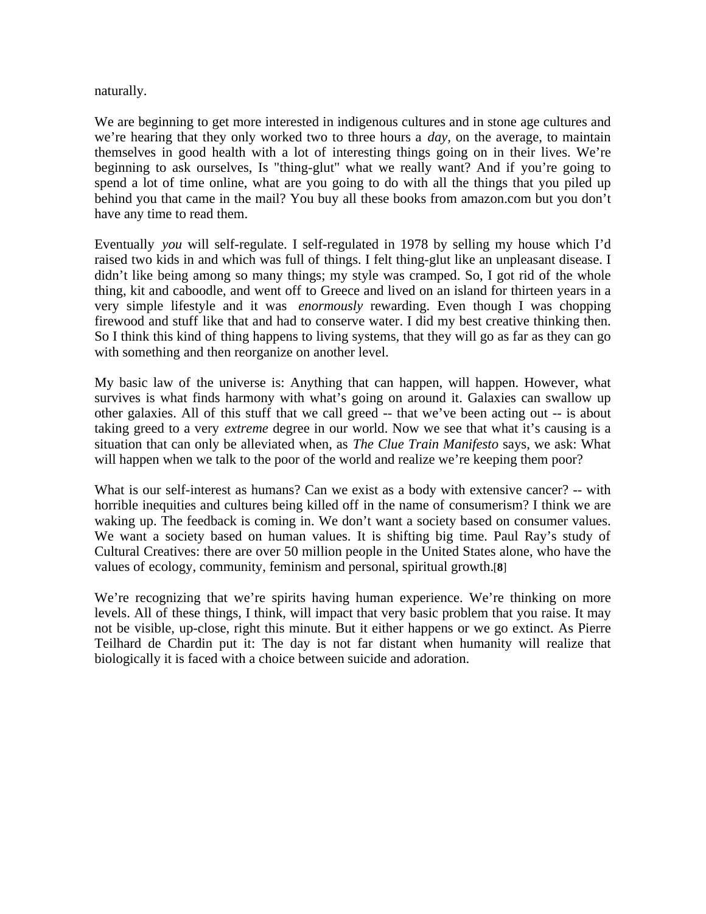## naturally.

We are beginning to get more interested in indigenous cultures and in stone age cultures and we're hearing that they only worked two to three hours a *day,* on the average, to maintain themselves in good health with a lot of interesting things going on in their lives. We're beginning to ask ourselves, Is "thing-glut" what we really want? And if you're going to spend a lot of time online, what are you going to do with all the things that you piled up behind you that came in the mail? You buy all these books from amazon.com but you don't have any time to read them.

Eventually *you* will self-regulate. I self-regulated in 1978 by selling my house which I'd raised two kids in and which was full of things. I felt thing-glut like an unpleasant disease. I didn't like being among so many things; my style was cramped. So, I got rid of the whole thing, kit and caboodle, and went off to Greece and lived on an island for thirteen years in a very simple lifestyle and it was *enormously* rewarding. Even though I was chopping firewood and stuff like that and had to conserve water. I did my best creative thinking then. So I think this kind of thing happens to living systems, that they will go as far as they can go with something and then reorganize on another level.

My basic law of the universe is: Anything that can happen, will happen. However, what survives is what finds harmony with what's going on around it. Galaxies can swallow up other galaxies. All of this stuff that we call greed -- that we've been acting out -- is about taking greed to a very *extreme* degree in our world. Now we see that what it's causing is a situation that can only be alleviated when, as *The Clue Train Manifesto* says, we ask: What will happen when we talk to the poor of the world and realize we're keeping them poor?

What is our self-interest as humans? Can we exist as a body with extensive cancer? -- with horrible inequities and cultures being killed off in the name of consumerism? I think we are waking up. The feedback is coming in. We don't want a society based on consumer values. We want a society based on human values. It is shifting big time. Paul Ray's study of Cultural Creatives: there are over 50 million people in the United States alone, who have the values of ecology, community, feminism and personal, spiritual growth.[**8**]

We're recognizing that we're spirits having human experience. We're thinking on more levels. All of these things, I think, will impact that very basic problem that you raise. It may not be visible, up-close, right this minute. But it either happens or we go extinct. As Pierre Teilhard de Chardin put it: The day is not far distant when humanity will realize that biologically it is faced with a choice between suicide and adoration.